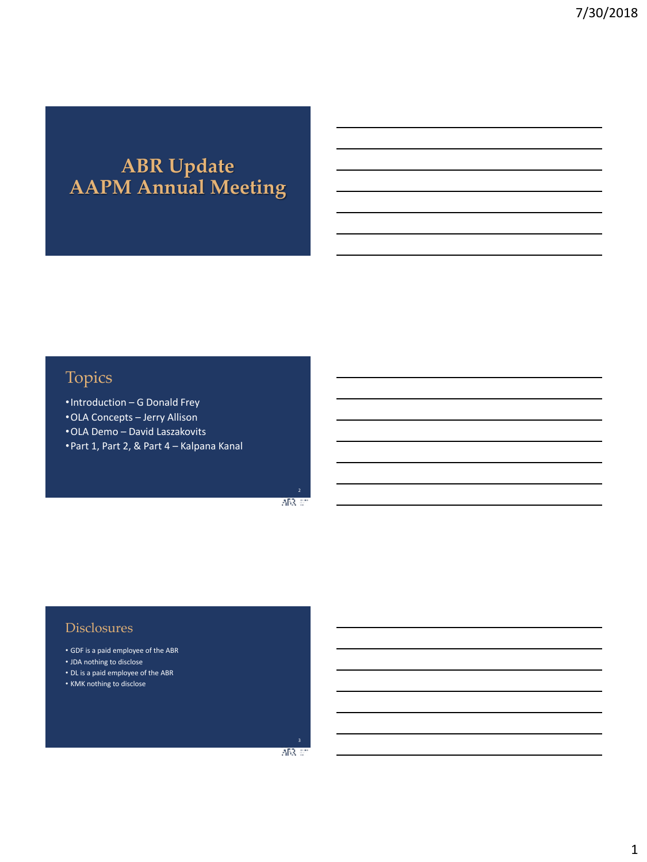# **ABR Update AAPM Annual Meeting**

## Topics

•Introduction – G Donald Frey •OLA Concepts – Jerry Allison •OLA Demo – David Laszakovits •Part 1, Part 2, & Part 4 – Kalpana Kanal

> 2 ABR 67

### **Disclosures**

- GDF is a paid employee of the ABR
- JDA nothing to disclose
- DL is a paid employee of the ABR
- KMK nothing to disclose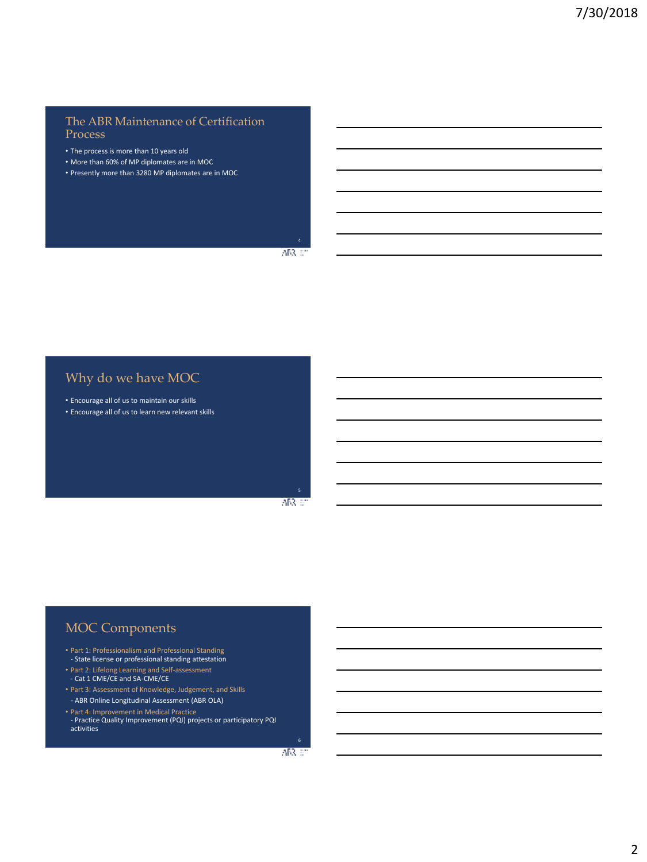### The ABR Maintenance of Certification Process

- The process is more than 10 years old
- More than 60% of MP diplomates are in MOC
- Presently more than 3280 MP diplomates are in MOC

 $ABR$  at

## Why do we have MOC

• Encourage all of us to maintain our skills • Encourage all of us to learn new relevant skills

> 5 AB3, 60

## MOC Components

- Part 1: Professionalism and Professional Standing State license or professional standing attestation
- Part 2: Lifelong Learning and Self-assessment - Cat 1 CME/CE and SA-CME/CE
- Part 3: Assessment of Knowledge, Judgement, and Skills - ABR Online Longitudinal Assessment (ABR OLA)
- 
- Part 4: Improvement in Medical Practice Practice Quality Improvement (PQI) projects or participatory PQI activities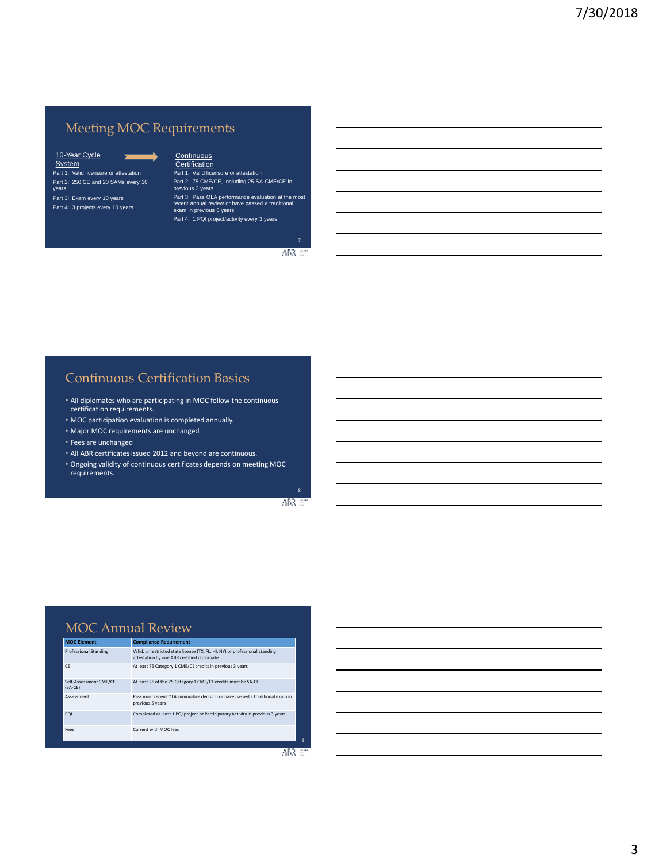## Meeting MOC Requirements

#### $\sim$ 10-Year Cycle<br>System Part 1: Valid licensure or attestation Part 2: 250 CE and 20 SAMs every 10 years Part 3: Exam every 10 years Part 4: 3 projects every 10 years

Continuous Certification

Part 1: Valid licensure or attestation Part 2: 75 CME/CE, including 25 SA-CME/CE in previous 3 years

Part 3: Pass OLA performance evaluation at the most recent annual review or have passed a traditional exam in previous 5 years Part 4: 1 PQI project/activity every 3 years

7 ABR 67

### Continuous Certification Basics

- All diplomates who are participating in MOC follow the continuous certification requirements.
- MOC participation evaluation is completed annually.
- Major MOC requirements are unchanged
- Fees are unchanged
- All ABR certificates issued 2012 and beyond are continuous.
- Ongoing validity of continuous certificates depends on meeting MOC requirements.

8 ABR 67

### MOC Annual Review

| <b>MOC Element</b>                  | <b>Compliance Requirement</b>                                                                                             |
|-------------------------------------|---------------------------------------------------------------------------------------------------------------------------|
| <b>Professional Standing</b>        | Valid, unrestricted state license (TX, FL, HI, NY) or professional standing<br>attestation by one ABR certified diplomate |
| CF                                  | At least 75 Category 1 CME/CE credits in previous 3 years                                                                 |
| Self-Assessment CME/CE<br>$(SA-CE)$ | At least 25 of the 75 Category 1 CME/CE credits must be SA-CE.                                                            |
| Assessment                          | Pass most recent OLA summative decision or have passed a traditional exam in<br>previous 5 years                          |
| POI                                 | Completed at least 1 PQI project or Participatory Activity in previous 3 years                                            |
| Fees                                | Current with MOC fees                                                                                                     |

 $ABC$ 

9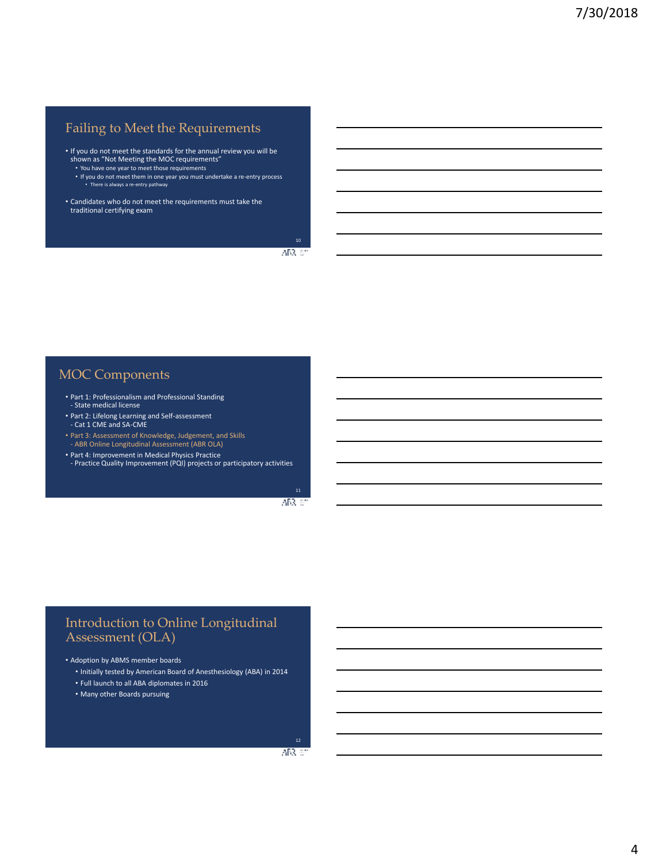## Failing to Meet the Requirements

- If you do not meet the standards for the annual review you will be shown as "Not Meeting the MOC requirements"
	- You have one year to meet those requirements
	- If you do not meet them in one year you must undertake a re-entry process • There is always a re-entry pathway
- Candidates who do not meet the requirements must take the traditional certifying exam

 $ABR \ll$ 

### MOC Components

- Part 1: Professionalism and Professional Standing - State medical license
- Part 2: Lifelong Learning and Self-assessment - Cat 1 CME and SA-CME
- Part 3: Assessment of Knowledge, Judgement, and Skills ABR Online Longitudinal Assessment (ABR OLA)
- Part 4: Improvement in Medical Physics Practice Practice Quality Improvement (PQI) projects or participatory activities

 $AB3 \approx$ 

### Introduction to Online Longitudinal Assessment (OLA)

• Adoption by ABMS member boards

- Initially tested by American Board of Anesthesiology (ABA) in 2014
- Full launch to all ABA diplomates in 2016
- Many other Boards pursuing

ARR 671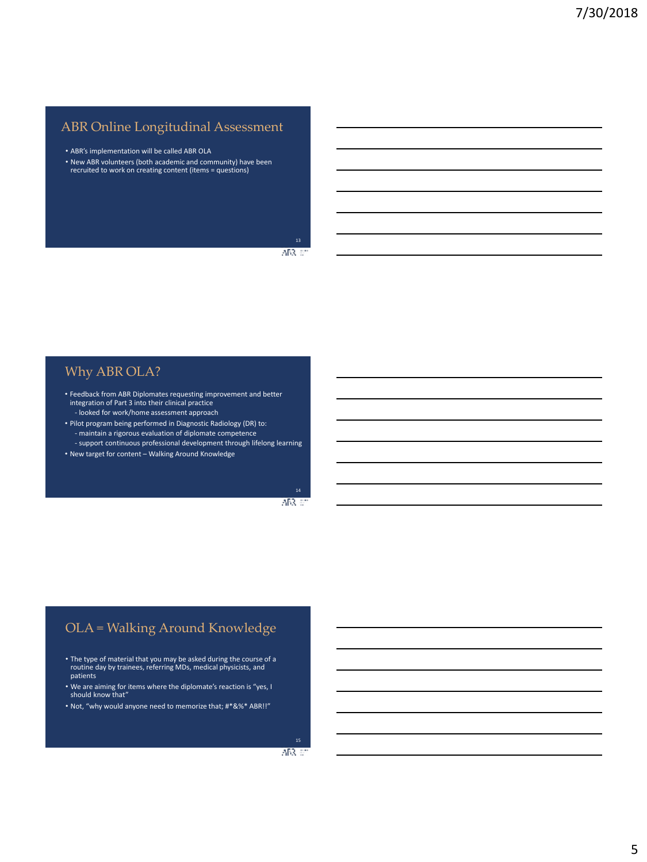## ABR Online Longitudinal Assessment

- ABR's implementation will be called ABR OLA
- New ABR volunteers (both academic and community) have been recruited to work on creating content (items = questions)

 $ABR$  at

### Why ABR OLA?

- Feedback from ABR Diplomates requesting improvement and better integration of Part 3 into their clinical practice
- looked for work/home assessment approach
- Pilot program being performed in Diagnostic Radiology (DR) to: - maintain a rigorous evaluation of diplomate competence
- support continuous professional development through lifelong learning • New target for content – Walking Around Knowledge

 $AB3 \approx$ 

## OLA = Walking Around Knowledge

- The type of material that you may be asked during the course of a routine day by trainees, referring MDs, medical physicists, and patients
- We are aiming for items where the diplomate's reaction is "yes, I should know that"
- Not, "why would anyone need to memorize that; #\*&%\* ABR!!"

ARR 671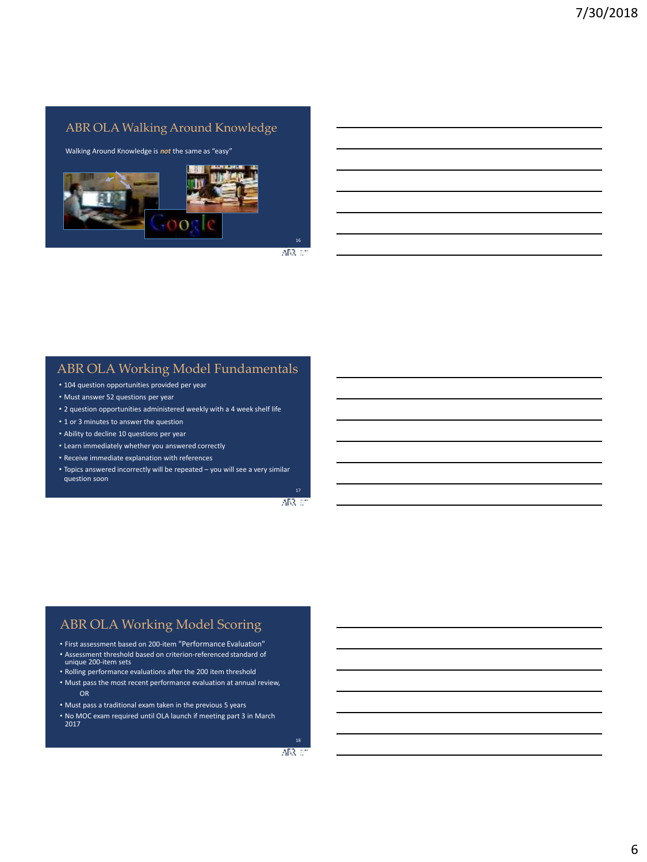### ABR OLA Walking Around Knowledge

Walking Around Knowledge is *not* the same as "easy"



 $ABR \ll$ 

### ABR OLA Working Model Fundamentals

- 104 question opportunities provided per year
- Must answer 52 questions per year
- 2 question opportunities administered weekly with a 4 week shelf life
- 1 or 3 minutes to answer the question
- Ability to decline 10 questions per year
- Learn immediately whether you answered correctly
- Receive immediate explanation with references
- Topics answered incorrectly will be repeated you will see a very similar question soon

ABR 60

### ABR OLA Working Model Scoring

- First assessment based on 200-item "Performance Evaluation"
- Assessment threshold based on criterion-referenced standard of unique 200-item sets
- Rolling performance evaluations after the 200 item threshold
- Must pass the most recent performance evaluation at annual review, OR
- Must pass a traditional exam taken in the previous 5 years
- No MOC exam required until OLA launch if meeting part 3 in March 2017

ARR 671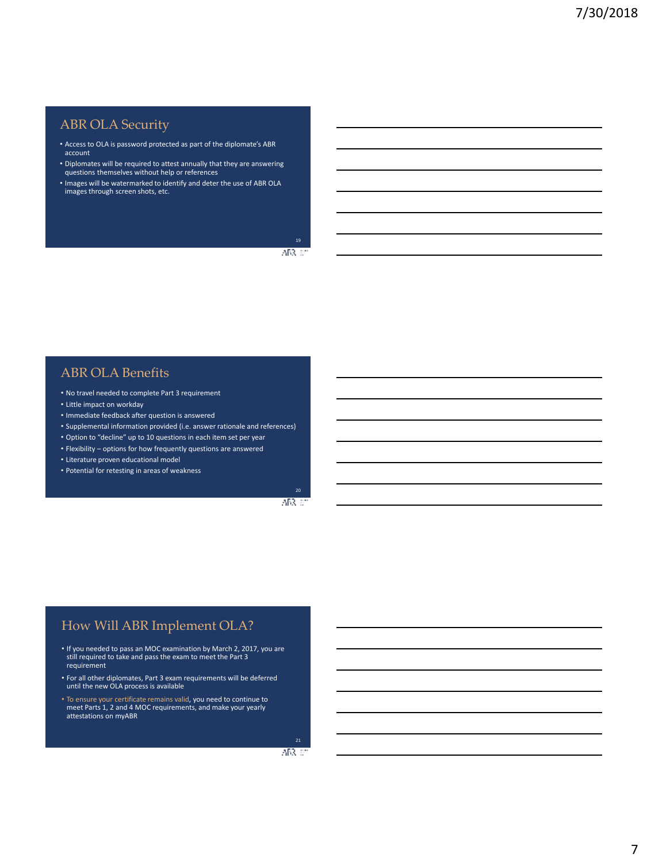### ABR OLA Security

- Access to OLA is password protected as part of the diplomate's ABR account
- Diplomates will be required to attest annually that they are answering questions themselves without help or references
- Images will be watermarked to identify and deter the use of ABR OLA images through screen shots, etc.

 $AB3 \,$ 

### ABR OLA Benefits

- No travel needed to complete Part 3 requirement
- Little impact on workday
- Immediate feedback after question is answered
- Supplemental information provided (i.e. answer rationale and references)
- Option to "decline" up to 10 questions in each item set per year
- Flexibility options for how frequently questions are answered
- Literature proven educational model
- Potential for retesting in areas of weakness

 $AB3 \approx$ 

## How Will ABR Implement OLA?

- If you needed to pass an MOC examination by March 2, 2017, you are still required to take and pass the exam to meet the Part 3 requirement
- For all other diplomates, Part 3 exam requirements will be deferred until the new OLA process is available
- To ensure your certificate remains valid, you need to continue to meet Parts 1, 2 and 4 MOC requirements, and make your yearly attestations on myABR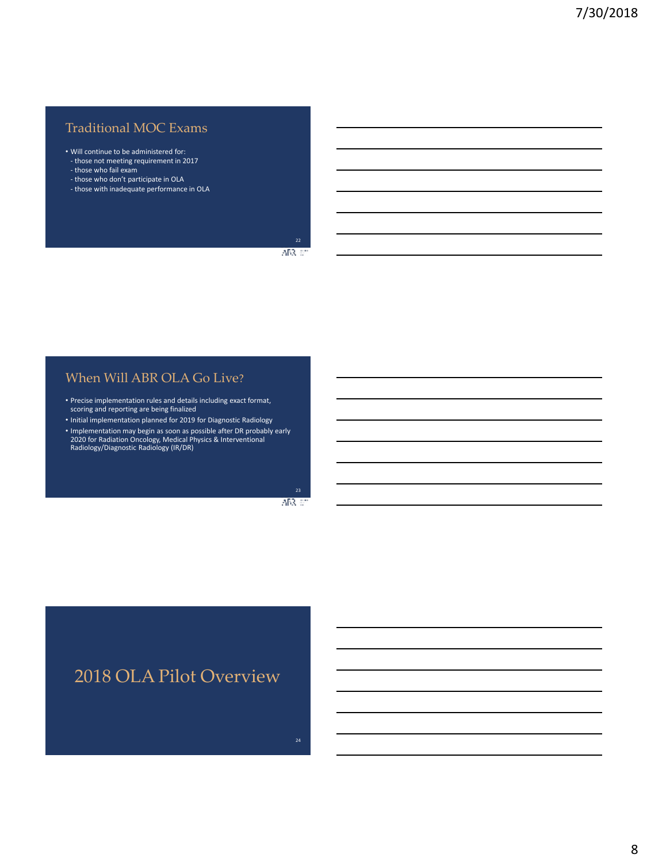## Traditional MOC Exams

- Will continue to be administered for: - those not meeting requirement in 2017
- those who fail exam
- those who don't participate in OLA
- those with inadequate performance in OLA

ABR 67

### When Will ABR OLA Go Live?

- Precise implementation rules and details including exact format, scoring and reporting are being finalized
- Initial implementation planned for 2019 for Diagnostic Radiology
- Implementation may begin as soon as possible after DR probably early 2020 for Radiation Oncology, Medical Physics & Interventional Radiology/Diagnostic Radiology (IR/DR)

ABR 67

## 2018 OLA Pilot Overview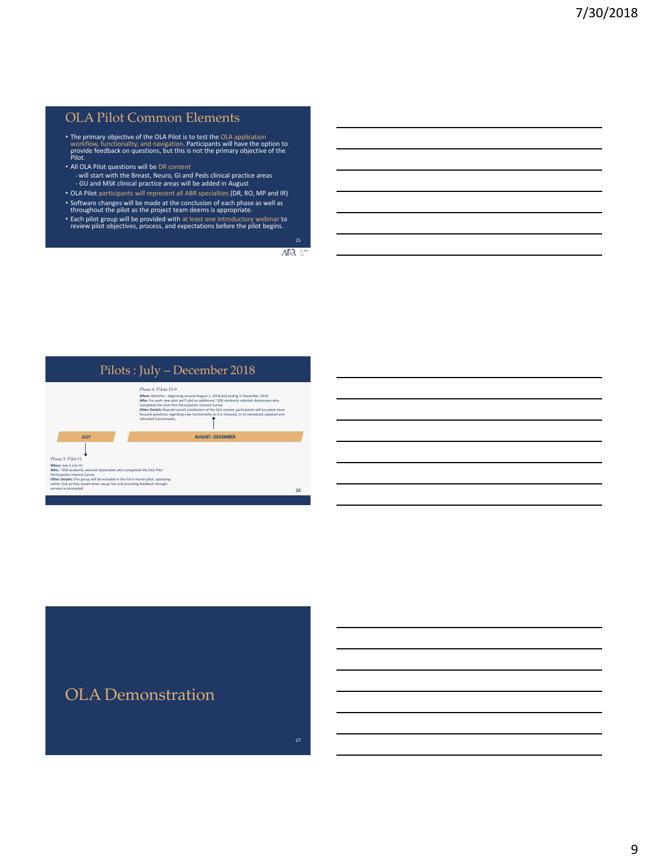### OLA Pilot Common Elements

- The primary objective of the OLA Pilot is to test the OLA application<br>workflow, functionality, and navigation. Participants will have the option to<br>provide feedback on questions, but this is not the primary objective of
- All OLA Pilot questions will be DR content will start with the Breast, Neuro, GI and Peds clinical practice areas - GU and MSK clinical practice areas will be added in August
- OLA Pilot participants will represent all ABR specialties (DR, RO, MP and IR) • Software changes will be made at the conclusion of each phase as well as throughout the pilot as the project team deems is appropriate.
- Each pilot group will be provided with at least one introductory webinar to review pilot objectives, process, and expectations before the pilot begins.

 $ABR \ll$ 



## OLA Demonstration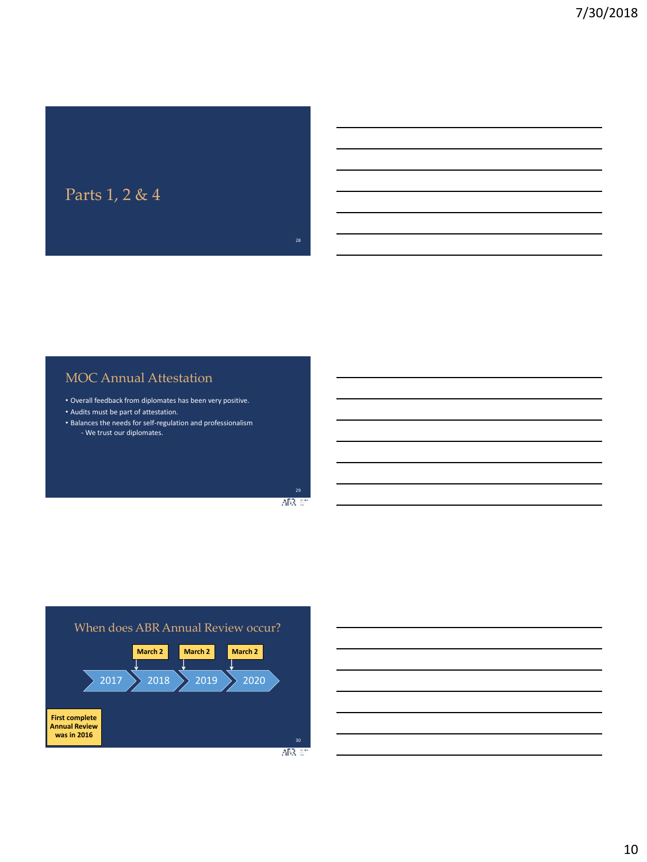

## MOC Annual Attestation

- Overall feedback from diplomates has been very positive.
- Audits must be part of attestation.
- Balances the needs for self-regulation and professionalism - We trust our diplomates.

 $AB3.57$ 



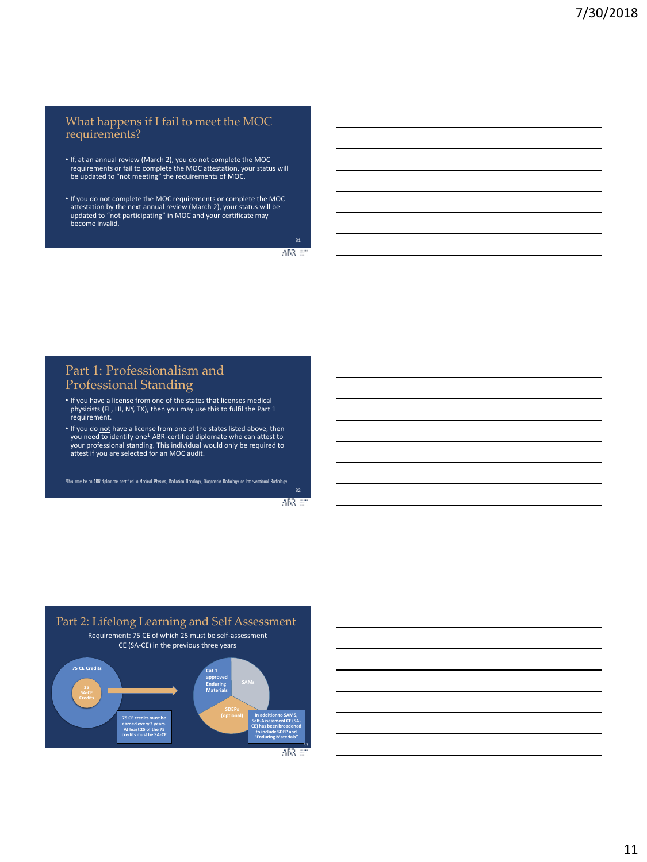#### What happens if I fail to meet the MOC requirements?

- If, at an annual review (March 2), you do not complete the MOC requirements or fail to complete the MOC attestation, your status will be updated to "not meeting" the requirements of MOC.
- If you do not complete the MOC requirements or complete the MOC attestation by the next annual review (March 2), your status will be updated to "not participating" in MOC and your certificate may become invalid.

 $ABR \ll$ 

### Part 1: Professionalism and Professional Standing

- If you have a license from one of the states that licenses medical physicists (FL, HI, NY, TX), then you may use this to fulfil the Part 1 requirement.
- If you do not have a license from one of the states listed above, then you need to identify one<sup>1</sup> ABR-certified diplomate who can attest to your professional standing. This individual would only be required to attest if you are selected for an MOC audit.

1 This may be an ABR diplomate certified in Medical Physics, Radiation Oncology, Diagnostic Radiology or Interventional Radiology.

ABR 67



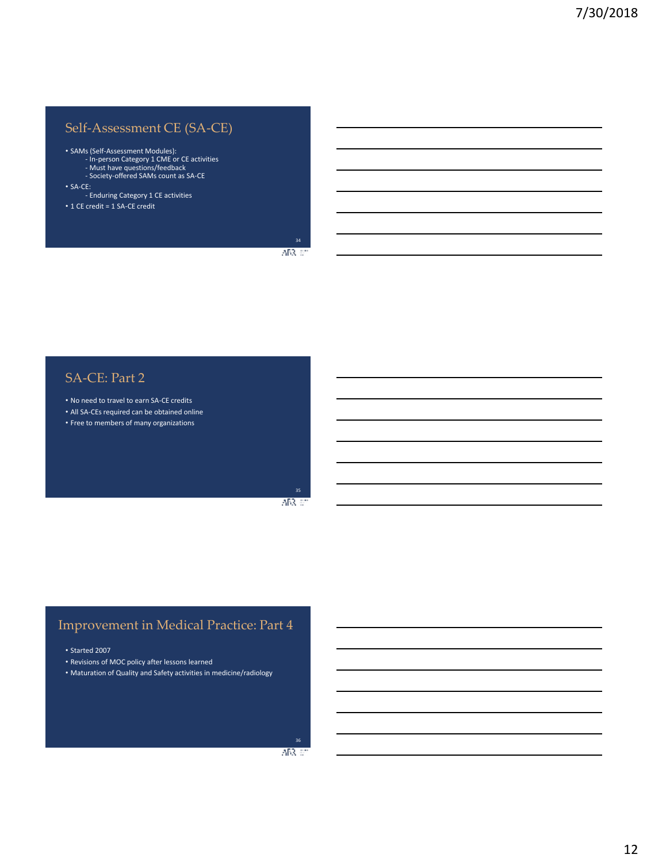## Self-Assessment CE (SA-CE)

- SAMs (Self-Assessment Modules): In-person Category 1 CME or CE activities Must have questions/feedback Society-offered SAMs count as SA-CE
- 
- SA-CE: Enduring Category 1 CE activities
- 1 CE credit = 1 SA-CE credit

ABR 67

### SA-CE: Part 2

- No need to travel to earn SA-CE credits
- All SA-CEs required can be obtained online
- Free to members of many organizations

ABR 67

### Improvement in Medical Practice: Part 4

- Started 2007
- Revisions of MOC policy after lessons learned
- Maturation of Quality and Safety activities in medicine/radiology

 $AB3.57$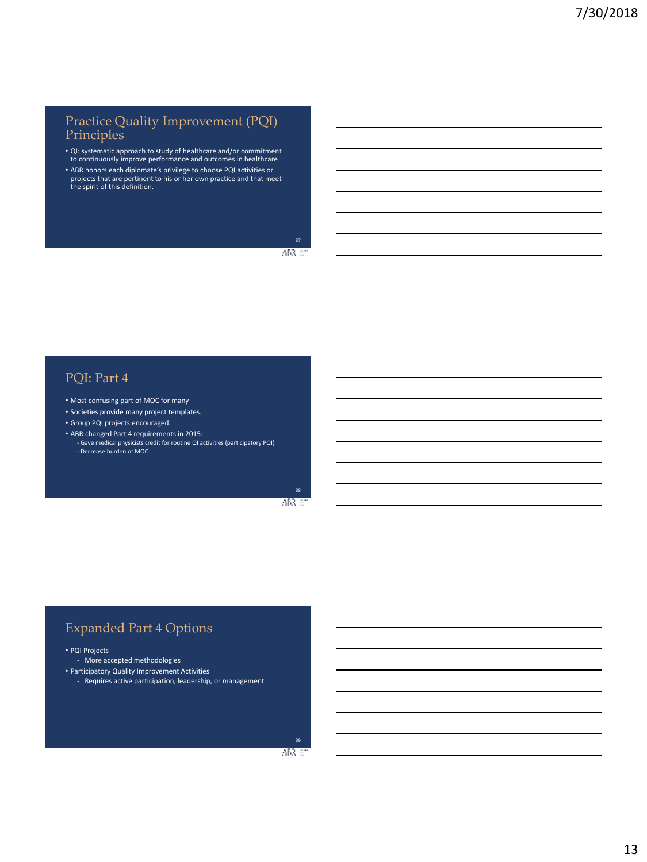### Practice Quality Improvement (PQI) Principles

- QI: systematic approach to study of healthcare and/or commitment to continuously improve performance and outcomes in healthcare
- ABR honors each diplomate's privilege to choose PQI activities or projects that are pertinent to his or her own practice and that meet the spirit of this definition.

 $ABR$  at

## PQI: Part 4

- Most confusing part of MOC for many
- Societies provide many project templates.
- Group PQI projects encouraged.
- ABR changed Part 4 requirements in 2015:
	- Gave medical physicists credit for routine QI activities (participatory PQI) - Decrease burden of MOC

38 AB3, 60

## Expanded Part 4 Options

• PQI Projects

- More accepted methodologies
- Participatory Quality Improvement Activities
	- Requires active participation, leadership, or management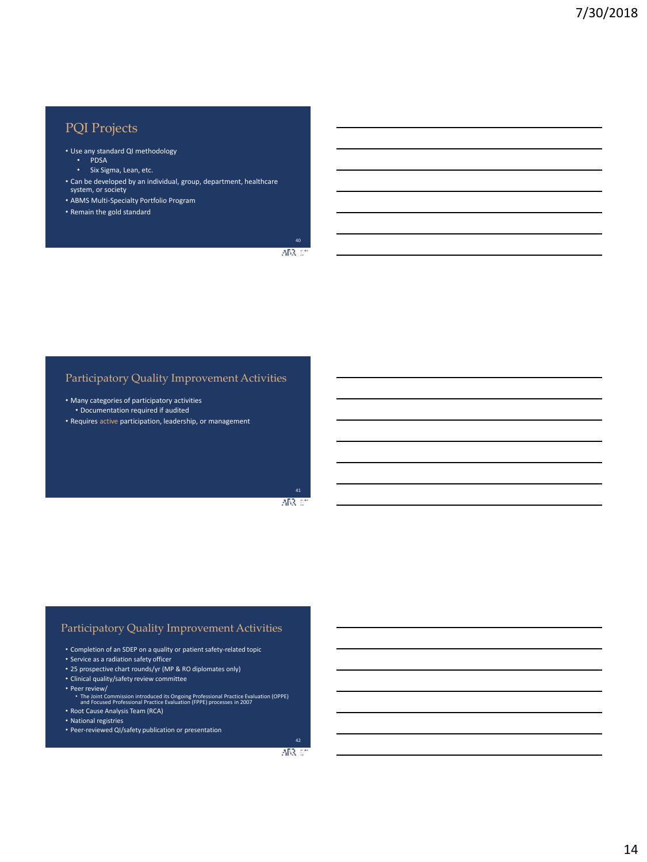## PQI Projects

- Use any standard QI methodology
	- PDSA
	- Six Sigma, Lean, etc.
- Can be developed by an individual, group, department, healthcare system, or society
- ABMS Multi-Specialty Portfolio Program
- Remain the gold standard

40  $ABR$  at

### Participatory Quality Improvement Activities

- Many categories of participatory activities • Documentation required if audited
- Requires active participation, leadership, or management

AB3, 60

#### Participatory Quality Improvement Activities

- Completion of an SDEP on a quality or patient safety-related topic
- Service as a radiation safety officer
- 25 prospective chart rounds/yr (MP & RO diplomates only)
- Clinical quality/safety review committee
- Peer review/
- The Joint Commission introduced its Ongoing Professional Practice Evaluation (OPPE) and Focused Professional Practice Evaluation (FPPE) processes in 2007
- Root Cause Analysis Team (RCA)
- National registries
- Peer-reviewed QI/safety publication or presentation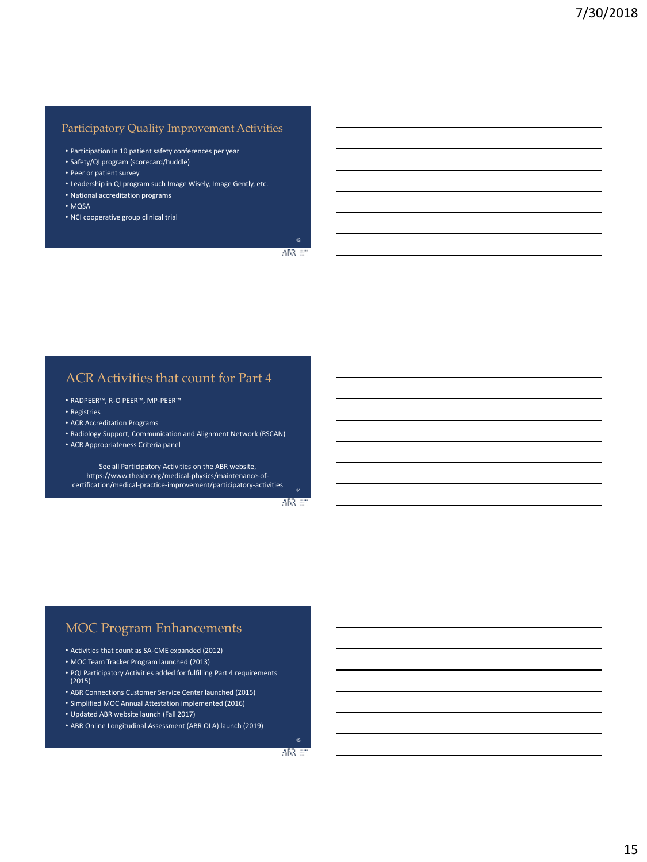### Participatory Quality Improvement Activities

- Participation in 10 patient safety conferences per year
- Safety/QI program (scorecard/huddle)
- Peer or patient survey
- Leadership in QI program such Image Wisely, Image Gently, etc.
- National accreditation programs
- MQSA
- NCI cooperative group clinical trial

 $ABR \ll$ 

### ACR Activities that count for Part 4

- RADPEER™, R-O PEER™, MP-PEER™
- Registries
- ACR Accreditation Programs
- Radiology Support, Communication and Alignment Network (RSCAN)
- ACR Appropriateness Criteria panel

See all Participatory Activities on the ABR website, https://www.theabr.org/medical-physics/maintenance-ofcertification/medical-practice-improvement/participatory-activities

ABR 67

### MOC Program Enhancements

- Activities that count as SA-CME expanded (2012)
- MOC Team Tracker Program launched (2013)
- PQI Participatory Activities added for fulfilling Part 4 requirements (2015)
- ABR Connections Customer Service Center launched (2015)
- Simplified MOC Annual Attestation implemented (2016)
- Updated ABR website launch (Fall 2017)
- ABR Online Longitudinal Assessment (ABR OLA) launch (2019)

ABR 67